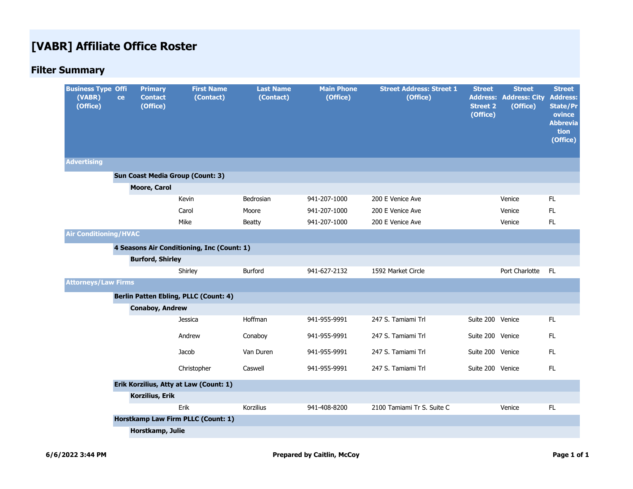# **[VABR] Affiliate Office Roster**

# **Filter Summary**

| <b>Business Type Offi</b><br>(VABR)<br>(Office) | ce | <b>Primary</b><br><b>Contact</b><br>(Office) | <b>First Name</b><br>(Contact)               | <b>Last Name</b><br>(Contact) | <b>Main Phone</b><br>(Office) | <b>Street Address: Street 1</b><br>(Office) | <b>Street</b><br><b>Street 2</b><br>(Office) | <b>Street</b><br><b>Address: Address: City</b><br>(Office) | <b>Street</b><br><b>Address:</b><br><b>State/Pr</b><br>ovince<br><b>Abbrevia</b><br>tion<br>(Office) |
|-------------------------------------------------|----|----------------------------------------------|----------------------------------------------|-------------------------------|-------------------------------|---------------------------------------------|----------------------------------------------|------------------------------------------------------------|------------------------------------------------------------------------------------------------------|
| <b>Advertising</b>                              |    |                                              |                                              |                               |                               |                                             |                                              |                                                            |                                                                                                      |
|                                                 |    |                                              | <b>Sun Coast Media Group (Count: 3)</b>      |                               |                               |                                             |                                              |                                                            |                                                                                                      |
|                                                 |    | <b>Moore, Carol</b>                          |                                              |                               |                               |                                             |                                              |                                                            |                                                                                                      |
|                                                 |    |                                              | Kevin                                        | Bedrosian                     | 941-207-1000                  | 200 E Venice Ave                            |                                              | Venice                                                     | FL                                                                                                   |
|                                                 |    |                                              | Carol                                        | Moore                         | 941-207-1000                  | 200 E Venice Ave                            |                                              | Venice                                                     | FL.                                                                                                  |
|                                                 |    |                                              | Mike                                         | <b>Beatty</b>                 | 941-207-1000                  | 200 E Venice Ave                            |                                              | Venice                                                     | FL                                                                                                   |
| <b>Air Conditioning/HVAC</b>                    |    |                                              |                                              |                               |                               |                                             |                                              |                                                            |                                                                                                      |
|                                                 |    |                                              | 4 Seasons Air Conditioning, Inc (Count: 1)   |                               |                               |                                             |                                              |                                                            |                                                                                                      |
|                                                 |    | <b>Burford, Shirley</b>                      |                                              |                               |                               |                                             |                                              |                                                            |                                                                                                      |
|                                                 |    |                                              | Shirley                                      | Burford                       | 941-627-2132                  | 1592 Market Circle                          |                                              | Port Charlotte                                             | FL.                                                                                                  |
| <b>Attorneys/Law Firms</b>                      |    |                                              |                                              |                               |                               |                                             |                                              |                                                            |                                                                                                      |
|                                                 |    |                                              | <b>Berlin Patten Ebling, PLLC (Count: 4)</b> |                               |                               |                                             |                                              |                                                            |                                                                                                      |
|                                                 |    | <b>Conaboy, Andrew</b>                       |                                              |                               |                               |                                             |                                              |                                                            |                                                                                                      |
|                                                 |    |                                              | Jessica                                      | Hoffman                       | 941-955-9991                  | 247 S. Tamiami Trl                          | Suite 200 Venice                             |                                                            | FL.                                                                                                  |
|                                                 |    |                                              | Andrew                                       | Conaboy                       | 941-955-9991                  | 247 S. Tamiami Trl                          | Suite 200 Venice                             |                                                            | FL.                                                                                                  |
|                                                 |    |                                              | Jacob                                        | Van Duren                     | 941-955-9991                  | 247 S. Tamiami Trl                          | Suite 200 Venice                             |                                                            | <b>FL</b>                                                                                            |
|                                                 |    |                                              | Christopher                                  | Caswell                       | 941-955-9991                  | 247 S. Tamiami Trl                          | Suite 200 Venice                             |                                                            | FL                                                                                                   |
|                                                 |    |                                              | Erik Korzilius, Atty at Law (Count: 1)       |                               |                               |                                             |                                              |                                                            |                                                                                                      |
|                                                 |    | Korzilius, Erik                              |                                              |                               |                               |                                             |                                              |                                                            |                                                                                                      |
|                                                 |    |                                              | Erik                                         | Korzilius                     | 941-408-8200                  | 2100 Tamiami Tr S. Suite C                  |                                              | Venice                                                     | FL                                                                                                   |
|                                                 |    |                                              | Horstkamp Law Firm PLLC (Count: 1)           |                               |                               |                                             |                                              |                                                            |                                                                                                      |
|                                                 |    | Horstkamp, Julie                             |                                              |                               |                               |                                             |                                              |                                                            |                                                                                                      |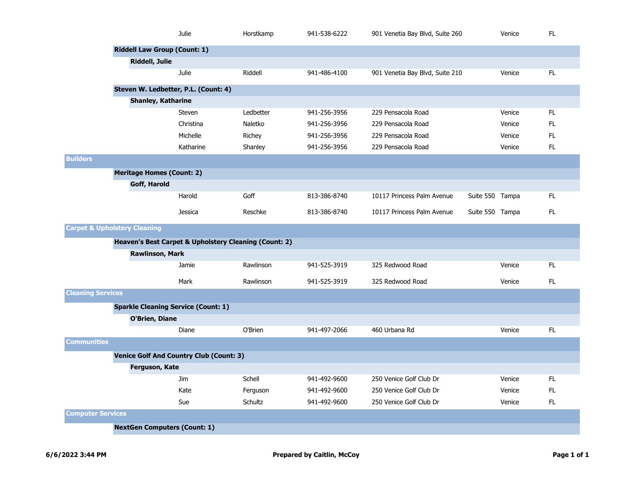|                          |                                            | Julie                                                 | Horstkamp | 941-538-6222 | 901 Venetia Bay Blvd, Suite 260 |                 | Venice | FL. |
|--------------------------|--------------------------------------------|-------------------------------------------------------|-----------|--------------|---------------------------------|-----------------|--------|-----|
|                          | <b>Riddell Law Group (Count: 1)</b>        |                                                       |           |              |                                 |                 |        |     |
|                          | <b>Riddell, Julie</b>                      |                                                       |           |              |                                 |                 |        |     |
|                          |                                            | Julie                                                 | Riddell   | 941-486-4100 | 901 Venetia Bay Blvd, Suite 210 |                 | Venice | FL. |
|                          | Steven W. Ledbetter, P.L. (Count: 4)       |                                                       |           |              |                                 |                 |        |     |
|                          | Shanley, Katharine                         |                                                       |           |              |                                 |                 |        |     |
|                          |                                            | <b>Steven</b>                                         | Ledbetter | 941-256-3956 | 229 Pensacola Road              |                 | Venice | FL. |
|                          |                                            | Christina                                             | Naletko   | 941-256-3956 | 229 Pensacola Road              |                 | Venice | FL. |
|                          |                                            | Michelle                                              | Richey    | 941-256-3956 | 229 Pensacola Road              |                 | Venice | FL. |
|                          |                                            | Katharine                                             | Shanley   | 941-256-3956 | 229 Pensacola Road              |                 | Venice | FL. |
| <b>Builders</b>          |                                            |                                                       |           |              |                                 |                 |        |     |
|                          | <b>Meritage Homes (Count: 2)</b>           |                                                       |           |              |                                 |                 |        |     |
|                          | Goff, Harold                               |                                                       |           |              |                                 |                 |        |     |
|                          |                                            | Harold                                                | Goff      | 813-386-8740 | 10117 Princess Palm Avenue      | Suite 550 Tampa |        | FL. |
|                          |                                            | <b>Jessica</b>                                        | Reschke   | 813-386-8740 | 10117 Princess Palm Avenue      | Suite 550 Tampa |        | FL. |
|                          | <b>Carpet &amp; Upholstery Cleaning</b>    |                                                       |           |              |                                 |                 |        |     |
|                          |                                            | Heaven's Best Carpet & Upholstery Cleaning (Count: 2) |           |              |                                 |                 |        |     |
|                          | <b>Rawlinson, Mark</b>                     |                                                       |           |              |                                 |                 |        |     |
|                          |                                            | Jamie                                                 | Rawlinson | 941-525-3919 | 325 Redwood Road                |                 | Venice | FL. |
|                          |                                            | Mark                                                  | Rawlinson | 941-525-3919 | 325 Redwood Road                |                 | Venice | FL. |
| <b>Cleaning Services</b> |                                            |                                                       |           |              |                                 |                 |        |     |
|                          | <b>Sparkle Cleaning Service (Count: 1)</b> |                                                       |           |              |                                 |                 |        |     |
|                          | O'Brien, Diane                             |                                                       |           |              |                                 |                 |        |     |
|                          |                                            | <b>Diane</b>                                          | O'Brien   | 941-497-2066 | 460 Urbana Rd                   |                 | Venice | FL. |
| <b>Communities</b>       |                                            |                                                       |           |              |                                 |                 |        |     |
|                          |                                            | <b>Venice Golf And Country Club (Count: 3)</b>        |           |              |                                 |                 |        |     |
|                          | Ferguson, Kate                             |                                                       |           |              |                                 |                 |        |     |
|                          |                                            | <b>Jim</b>                                            | Schell    | 941-492-9600 | 250 Venice Golf Club Dr         |                 | Venice | FL. |
|                          |                                            | Kate                                                  | Ferguson  | 941-492-9600 | 250 Venice Golf Club Dr         |                 | Venice | FL. |
|                          |                                            | Sue                                                   | Schultz   | 941-492-9600 | 250 Venice Golf Club Dr         |                 | Venice | FL. |
| <b>Computer Services</b> |                                            |                                                       |           |              |                                 |                 |        |     |
|                          | <b>NextGen Computers (Count: 1)</b>        |                                                       |           |              |                                 |                 |        |     |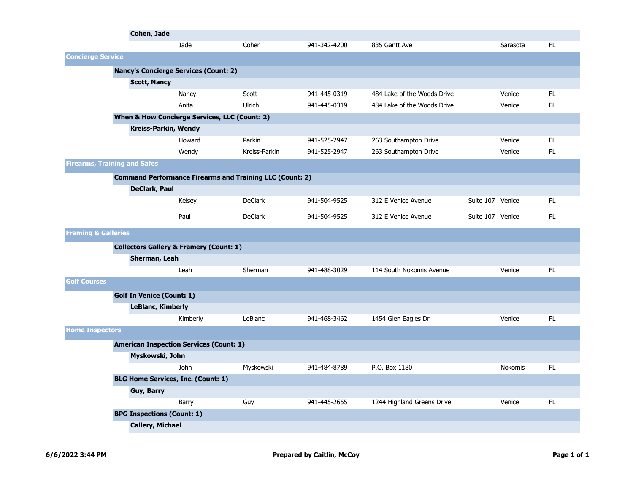|                                | Cohen, Jade                                  |                                                                 |                |              |                             |                  |                |     |
|--------------------------------|----------------------------------------------|-----------------------------------------------------------------|----------------|--------------|-----------------------------|------------------|----------------|-----|
|                                |                                              | Jade                                                            | Cohen          | 941-342-4200 | 835 Gantt Ave               |                  | Sarasota       | FL. |
| <b>Concierge Service</b>       |                                              |                                                                 |                |              |                             |                  |                |     |
|                                | <b>Nancy's Concierge Services (Count: 2)</b> |                                                                 |                |              |                             |                  |                |     |
|                                | <b>Scott, Nancy</b>                          |                                                                 |                |              |                             |                  |                |     |
|                                |                                              | Nancy                                                           | Scott          | 941-445-0319 | 484 Lake of the Woods Drive |                  | Venice         | FL. |
|                                |                                              | Anita                                                           | Ulrich         | 941-445-0319 | 484 Lake of the Woods Drive |                  | Venice         | FL. |
|                                |                                              | When & How Concierge Services, LLC (Count: 2)                   |                |              |                             |                  |                |     |
|                                | Kreiss-Parkin, Wendy                         |                                                                 |                |              |                             |                  |                |     |
|                                |                                              | Howard                                                          | Parkin         | 941-525-2947 | 263 Southampton Drive       |                  | Venice         | FL. |
|                                |                                              | Wendy                                                           | Kreiss-Parkin  | 941-525-2947 | 263 Southampton Drive       |                  | Venice         | FL. |
|                                | <b>Firearms, Training and Safes</b>          |                                                                 |                |              |                             |                  |                |     |
|                                |                                              | <b>Command Performance Firearms and Training LLC (Count: 2)</b> |                |              |                             |                  |                |     |
|                                | DeClark, Paul                                |                                                                 |                |              |                             |                  |                |     |
|                                |                                              | Kelsey                                                          | <b>DeClark</b> | 941-504-9525 | 312 E Venice Avenue         | Suite 107 Venice |                | FL. |
|                                |                                              | Paul                                                            | <b>DeClark</b> | 941-504-9525 | 312 E Venice Avenue         | Suite 107 Venice |                | FL. |
| <b>Framing &amp; Galleries</b> |                                              |                                                                 |                |              |                             |                  |                |     |
|                                |                                              | <b>Collectors Gallery &amp; Framery (Count: 1)</b>              |                |              |                             |                  |                |     |
|                                | Sherman, Leah                                |                                                                 |                |              |                             |                  |                |     |
|                                |                                              | Leah                                                            | Sherman        | 941-488-3029 | 114 South Nokomis Avenue    |                  | Venice         | FL. |
| <b>Golf Courses</b>            |                                              |                                                                 |                |              |                             |                  |                |     |
|                                | <b>Golf In Venice (Count: 1)</b>             |                                                                 |                |              |                             |                  |                |     |
|                                | <b>LeBlanc, Kimberly</b>                     |                                                                 |                |              |                             |                  |                |     |
|                                |                                              | Kimberly                                                        | LeBlanc        | 941-468-3462 | 1454 Glen Eagles Dr         |                  | Venice         | FL. |
| <b>Home Inspectors</b>         |                                              |                                                                 |                |              |                             |                  |                |     |
|                                |                                              | <b>American Inspection Services (Count: 1)</b>                  |                |              |                             |                  |                |     |
|                                | Myskowski, John                              |                                                                 |                |              |                             |                  |                |     |
|                                |                                              | <b>John</b>                                                     | Myskowski      | 941-484-8789 | P.O. Box 1180               |                  | <b>Nokomis</b> | FL. |
|                                | <b>BLG Home Services, Inc. (Count: 1)</b>    |                                                                 |                |              |                             |                  |                |     |
|                                | Guy, Barry                                   |                                                                 |                |              |                             |                  |                | FL. |
|                                | <b>BPG Inspections (Count: 1)</b>            | Barry                                                           | Guy            | 941-445-2655 | 1244 Highland Greens Drive  |                  | Venice         |     |
|                                | <b>Callery, Michael</b>                      |                                                                 |                |              |                             |                  |                |     |
|                                |                                              |                                                                 |                |              |                             |                  |                |     |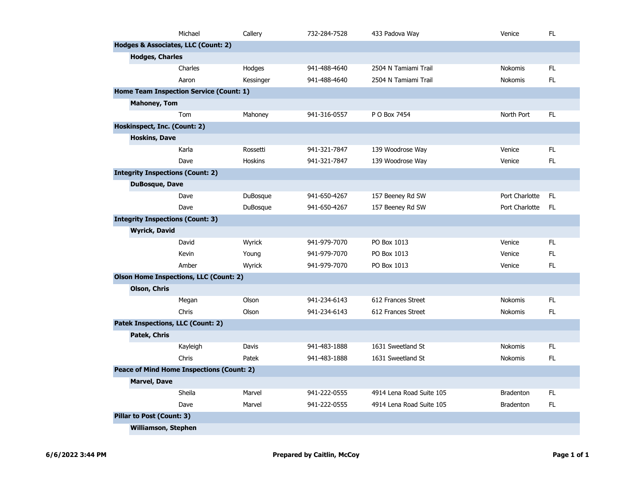|                                  | Michael                                          | Callery        | 732-284-7528 | 433 Padova Way           | Venice           | FL. |
|----------------------------------|--------------------------------------------------|----------------|--------------|--------------------------|------------------|-----|
|                                  | Hodges & Associates, LLC (Count: 2)              |                |              |                          |                  |     |
| <b>Hodges, Charles</b>           |                                                  |                |              |                          |                  |     |
|                                  | Charles                                          | Hodges         | 941-488-4640 | 2504 N Tamiami Trail     | Nokomis          | FL. |
|                                  | Aaron                                            | Kessinger      | 941-488-4640 | 2504 N Tamiami Trail     | <b>Nokomis</b>   | FL  |
|                                  | Home Team Inspection Service (Count: 1)          |                |              |                          |                  |     |
| <b>Mahoney, Tom</b>              |                                                  |                |              |                          |                  |     |
|                                  | Tom                                              | Mahoney        | 941-316-0557 | P O Box 7454             | North Port       | FL. |
| Hoskinspect, Inc. (Count: 2)     |                                                  |                |              |                          |                  |     |
| <b>Hoskins, Dave</b>             |                                                  |                |              |                          |                  |     |
|                                  | Karla                                            | Rossetti       | 941-321-7847 | 139 Woodrose Way         | Venice           | FL. |
|                                  | Dave                                             | <b>Hoskins</b> | 941-321-7847 | 139 Woodrose Way         | Venice           | FL. |
|                                  | <b>Integrity Inspections (Count: 2)</b>          |                |              |                          |                  |     |
| <b>DuBosque, Dave</b>            |                                                  |                |              |                          |                  |     |
|                                  | Dave                                             | DuBosque       | 941-650-4267 | 157 Beeney Rd SW         | Port Charlotte   | FL. |
|                                  | Dave                                             | DuBosque       | 941-650-4267 | 157 Beeney Rd SW         | Port Charlotte   | FL  |
|                                  | <b>Integrity Inspections (Count: 3)</b>          |                |              |                          |                  |     |
| <b>Wyrick, David</b>             |                                                  |                |              |                          |                  |     |
|                                  | David                                            | Wyrick         | 941-979-7070 | PO Box 1013              | Venice           | FL. |
|                                  | Kevin                                            | Young          | 941-979-7070 | PO Box 1013              | Venice           | FL  |
|                                  | Amber                                            | Wyrick         | 941-979-7070 | PO Box 1013              | Venice           | FL. |
|                                  | <b>Olson Home Inspections, LLC (Count: 2)</b>    |                |              |                          |                  |     |
| Olson, Chris                     |                                                  |                |              |                          |                  |     |
|                                  | Megan                                            | Olson          | 941-234-6143 | 612 Frances Street       | <b>Nokomis</b>   | FL. |
|                                  | Chris                                            | Olson          | 941-234-6143 | 612 Frances Street       | <b>Nokomis</b>   | FL. |
|                                  | <b>Patek Inspections, LLC (Count: 2)</b>         |                |              |                          |                  |     |
| Patek, Chris                     |                                                  |                |              |                          |                  |     |
|                                  | Kayleigh                                         | Davis          | 941-483-1888 | 1631 Sweetland St        | <b>Nokomis</b>   | FL  |
|                                  | Chris                                            | Patek          | 941-483-1888 | 1631 Sweetland St        | <b>Nokomis</b>   | FL. |
|                                  | <b>Peace of Mind Home Inspections (Count: 2)</b> |                |              |                          |                  |     |
| <b>Marvel, Dave</b>              |                                                  |                |              |                          |                  |     |
|                                  | Sheila                                           | Marvel         | 941-222-0555 | 4914 Lena Road Suite 105 | <b>Bradenton</b> | FL. |
|                                  | Dave                                             | Marvel         | 941-222-0555 | 4914 Lena Road Suite 105 | <b>Bradenton</b> | FL  |
| <b>Pillar to Post (Count: 3)</b> |                                                  |                |              |                          |                  |     |
|                                  | <b>Williamson, Stephen</b>                       |                |              |                          |                  |     |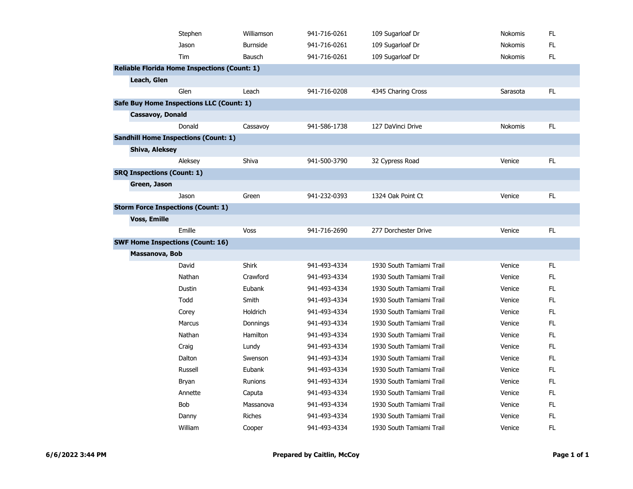|                     | Stephen                                             | Williamson      | 941-716-0261 | 109 Sugarloaf Dr         | Nokomis  | FL  |
|---------------------|-----------------------------------------------------|-----------------|--------------|--------------------------|----------|-----|
|                     | Jason                                               | <b>Burnside</b> | 941-716-0261 | 109 Sugarloaf Dr         | Nokomis  | FL. |
|                     | Tim                                                 | Bausch          | 941-716-0261 | 109 Sugarloaf Dr         | Nokomis  | FL  |
|                     | <b>Reliable Florida Home Inspections (Count: 1)</b> |                 |              |                          |          |     |
| Leach, Glen         |                                                     |                 |              |                          |          |     |
|                     | Glen                                                | Leach           | 941-716-0208 | 4345 Charing Cross       | Sarasota | FL. |
|                     | Safe Buy Home Inspections LLC (Count: 1)            |                 |              |                          |          |     |
|                     | Cassavoy, Donald                                    |                 |              |                          |          |     |
|                     | Donald                                              | Cassavoy        | 941-586-1738 | 127 DaVinci Drive        | Nokomis  | FL. |
|                     | <b>Sandhill Home Inspections (Count: 1)</b>         |                 |              |                          |          |     |
| Shiva, Aleksey      |                                                     |                 |              |                          |          |     |
|                     | Aleksey                                             | Shiva           | 941-500-3790 | 32 Cypress Road          | Venice   | FL  |
|                     | <b>SRQ Inspections (Count: 1)</b>                   |                 |              |                          |          |     |
| Green, Jason        |                                                     |                 |              |                          |          |     |
|                     | Jason                                               | Green           | 941-232-0393 | 1324 Oak Point Ct        | Venice   | FL. |
|                     | <b>Storm Force Inspections (Count: 1)</b>           |                 |              |                          |          |     |
| <b>Voss, Emille</b> |                                                     |                 |              |                          |          |     |
|                     | Emille                                              | <b>Voss</b>     | 941-716-2690 | 277 Dorchester Drive     | Venice   | FL. |
|                     | <b>SWF Home Inspections (Count: 16)</b>             |                 |              |                          |          |     |
|                     | Massanova, Bob                                      |                 |              |                          |          |     |
|                     | David                                               | <b>Shirk</b>    | 941-493-4334 | 1930 South Tamiami Trail | Venice   | FL  |
|                     | Nathan                                              | Crawford        | 941-493-4334 | 1930 South Tamiami Trail | Venice   | FL. |
|                     | Dustin                                              | Eubank          | 941-493-4334 | 1930 South Tamiami Trail | Venice   | FL. |
|                     | Todd                                                | Smith           | 941-493-4334 | 1930 South Tamiami Trail | Venice   | FL. |
|                     | Corey                                               | Holdrich        | 941-493-4334 | 1930 South Tamiami Trail | Venice   | FL. |
|                     | <b>Marcus</b>                                       | Donnings        | 941-493-4334 | 1930 South Tamiami Trail | Venice   | FL. |
|                     | Nathan                                              | Hamilton        | 941-493-4334 | 1930 South Tamiami Trail | Venice   | FL. |
|                     | Craig                                               | Lundy           | 941-493-4334 | 1930 South Tamiami Trail | Venice   | FL. |
|                     | Dalton                                              | Swenson         | 941-493-4334 | 1930 South Tamiami Trail | Venice   | FL. |
|                     | Russell                                             | Eubank          | 941-493-4334 | 1930 South Tamiami Trail | Venice   | FL. |
|                     | Bryan                                               | Runions         | 941-493-4334 | 1930 South Tamiami Trail | Venice   | FL  |
|                     | Annette                                             | Caputa          | 941-493-4334 | 1930 South Tamiami Trail | Venice   | FL. |
|                     | <b>Bob</b>                                          | Massanova       | 941-493-4334 | 1930 South Tamiami Trail | Venice   | FL. |
|                     | Danny                                               | <b>Riches</b>   | 941-493-4334 | 1930 South Tamiami Trail | Venice   | FL. |
|                     | William                                             | Cooper          | 941-493-4334 | 1930 South Tamiami Trail | Venice   | FL. |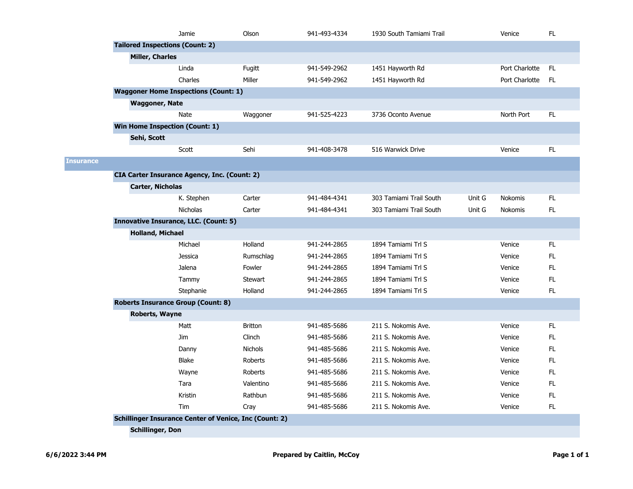|                  |                                           | Jamie                                                         | Olson          | 941-493-4334 | 1930 South Tamiami Trail |        | Venice         | <b>FL</b> |
|------------------|-------------------------------------------|---------------------------------------------------------------|----------------|--------------|--------------------------|--------|----------------|-----------|
|                  | <b>Tailored Inspections (Count: 2)</b>    |                                                               |                |              |                          |        |                |           |
|                  | <b>Miller, Charles</b>                    |                                                               |                |              |                          |        |                |           |
|                  |                                           | Linda                                                         | Fugitt         | 941-549-2962 | 1451 Hayworth Rd         |        | Port Charlotte | FL.       |
|                  |                                           | Charles                                                       | Miller         | 941-549-2962 | 1451 Hayworth Rd         |        | Port Charlotte | FL.       |
|                  |                                           | <b>Waggoner Home Inspections (Count: 1)</b>                   |                |              |                          |        |                |           |
|                  | <b>Waggoner, Nate</b>                     |                                                               |                |              |                          |        |                |           |
|                  |                                           | <b>Nate</b>                                                   | Waggoner       | 941-525-4223 | 3736 Oconto Avenue       |        | North Port     | FL.       |
|                  | <b>Win Home Inspection (Count: 1)</b>     |                                                               |                |              |                          |        |                |           |
|                  | Sehi, Scott                               |                                                               |                |              |                          |        |                |           |
|                  |                                           | Scott                                                         | Sehi           | 941-408-3478 | 516 Warwick Drive        |        | Venice         | FL.       |
| <b>Insurance</b> |                                           |                                                               |                |              |                          |        |                |           |
|                  |                                           | <b>CIA Carter Insurance Agency, Inc. (Count: 2)</b>           |                |              |                          |        |                |           |
|                  | <b>Carter, Nicholas</b>                   |                                                               |                |              |                          |        |                |           |
|                  |                                           | K. Stephen                                                    | Carter         | 941-484-4341 | 303 Tamiami Trail South  | Unit G | <b>Nokomis</b> | FL.       |
|                  |                                           | <b>Nicholas</b>                                               | Carter         | 941-484-4341 | 303 Tamiami Trail South  | Unit G | Nokomis        | FL.       |
|                  |                                           | <b>Innovative Insurance, LLC. (Count: 5)</b>                  |                |              |                          |        |                |           |
|                  | <b>Holland, Michael</b>                   |                                                               |                |              |                          |        |                |           |
|                  |                                           | Michael                                                       | Holland        | 941-244-2865 | 1894 Tamiami Trl S       |        | Venice         | FL.       |
|                  |                                           | <b>Jessica</b>                                                | Rumschlag      | 941-244-2865 | 1894 Tamiami Trl S       |        | Venice         | FL.       |
|                  |                                           | Jalena                                                        | Fowler         | 941-244-2865 | 1894 Tamiami Trl S       |        | Venice         | FL.       |
|                  |                                           | Tammy                                                         | <b>Stewart</b> | 941-244-2865 | 1894 Tamiami Trl S       |        | Venice         | FL.       |
|                  |                                           | Stephanie                                                     | Holland        | 941-244-2865 | 1894 Tamiami Trl S       |        | Venice         | FL.       |
|                  | <b>Roberts Insurance Group (Count: 8)</b> |                                                               |                |              |                          |        |                |           |
|                  | Roberts, Wayne                            |                                                               |                |              |                          |        |                |           |
|                  |                                           | Matt                                                          | <b>Britton</b> | 941-485-5686 | 211 S. Nokomis Ave.      |        | Venice         | FL.       |
|                  |                                           | Jim                                                           | Clinch         | 941-485-5686 | 211 S. Nokomis Ave.      |        | Venice         | FL.       |
|                  |                                           | Danny                                                         | <b>Nichols</b> | 941-485-5686 | 211 S. Nokomis Ave.      |        | Venice         | FL.       |
|                  |                                           | <b>Blake</b>                                                  | Roberts        | 941-485-5686 | 211 S. Nokomis Ave.      |        | Venice         | FL.       |
|                  |                                           | Wayne                                                         | Roberts        | 941-485-5686 | 211 S. Nokomis Ave.      |        | Venice         | FL.       |
|                  |                                           | Tara                                                          | Valentino      | 941-485-5686 | 211 S. Nokomis Ave.      |        | Venice         | FL.       |
|                  |                                           | Kristin                                                       | Rathbun        | 941-485-5686 | 211 S. Nokomis Ave.      |        | Venice         | FL.       |
|                  |                                           | Tim                                                           | Cray           | 941-485-5686 | 211 S. Nokomis Ave.      |        | Venice         | FL.       |
|                  |                                           | <b>Schillinger Insurance Center of Venice, Inc (Count: 2)</b> |                |              |                          |        |                |           |
|                  | <b>Schillinger, Don</b>                   |                                                               |                |              |                          |        |                |           |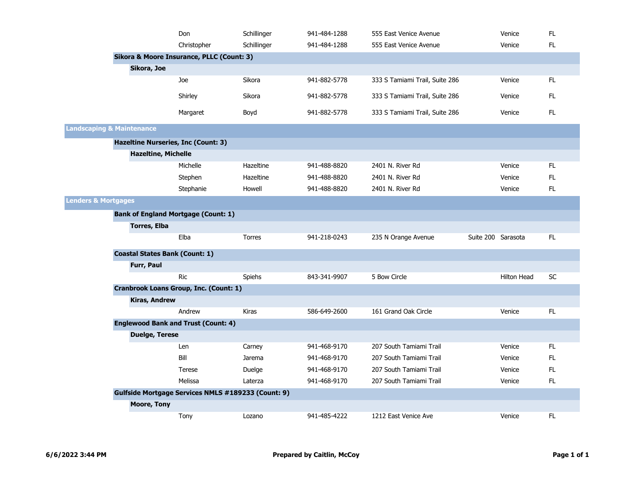|                                      |                                            | Don                                                       | Schillinger   | 941-484-1288 | 555 East Venice Avenue         |                    | Venice             | FL.       |
|--------------------------------------|--------------------------------------------|-----------------------------------------------------------|---------------|--------------|--------------------------------|--------------------|--------------------|-----------|
|                                      |                                            | Christopher                                               | Schillinger   | 941-484-1288 | 555 East Venice Avenue         |                    | Venice             | FL.       |
|                                      |                                            | Sikora & Moore Insurance, PLLC (Count: 3)                 |               |              |                                |                    |                    |           |
|                                      | Sikora, Joe                                |                                                           |               |              |                                |                    |                    |           |
|                                      |                                            | Joe                                                       | Sikora        | 941-882-5778 | 333 S Tamiami Trail, Suite 286 |                    | Venice             | FL.       |
|                                      |                                            | Shirley                                                   | Sikora        | 941-882-5778 | 333 S Tamiami Trail, Suite 286 |                    | Venice             | FL.       |
|                                      |                                            | Margaret                                                  | Boyd          | 941-882-5778 | 333 S Tamiami Trail, Suite 286 |                    | Venice             | FL.       |
| <b>Landscaping &amp; Maintenance</b> |                                            |                                                           |               |              |                                |                    |                    |           |
|                                      | <b>Hazeltine Nurseries, Inc (Count: 3)</b> |                                                           |               |              |                                |                    |                    |           |
|                                      | <b>Hazeltine, Michelle</b>                 |                                                           |               |              |                                |                    |                    |           |
|                                      |                                            | Michelle                                                  | Hazeltine     | 941-488-8820 | 2401 N. River Rd               |                    | Venice             | FL.       |
|                                      |                                            | Stephen                                                   | Hazeltine     | 941-488-8820 | 2401 N. River Rd               |                    | Venice             | FL.       |
|                                      |                                            | Stephanie                                                 | Howell        | 941-488-8820 | 2401 N. River Rd               |                    | Venice             | FL.       |
| <b>Lenders &amp; Mortgages</b>       |                                            |                                                           |               |              |                                |                    |                    |           |
|                                      | <b>Bank of England Mortgage (Count: 1)</b> |                                                           |               |              |                                |                    |                    |           |
|                                      | <b>Torres, Elba</b>                        |                                                           |               |              |                                |                    |                    |           |
|                                      |                                            | Elba                                                      | <b>Torres</b> | 941-218-0243 | 235 N Orange Avenue            | Suite 200 Sarasota |                    | FL.       |
|                                      | <b>Coastal States Bank (Count: 1)</b>      |                                                           |               |              |                                |                    |                    |           |
|                                      | Furr, Paul                                 |                                                           |               |              |                                |                    |                    |           |
|                                      |                                            | <b>Ric</b>                                                | Spiehs        | 843-341-9907 | 5 Bow Circle                   |                    | <b>Hilton Head</b> | <b>SC</b> |
|                                      |                                            | <b>Cranbrook Loans Group, Inc. (Count: 1)</b>             |               |              |                                |                    |                    |           |
|                                      | <b>Kiras, Andrew</b>                       |                                                           |               |              |                                |                    |                    |           |
|                                      |                                            | Andrew                                                    | Kiras         | 586-649-2600 | 161 Grand Oak Circle           |                    | Venice             | FL.       |
|                                      | <b>Englewood Bank and Trust (Count: 4)</b> |                                                           |               |              |                                |                    |                    |           |
|                                      | <b>Duelge, Terese</b>                      |                                                           |               |              |                                |                    |                    |           |
|                                      |                                            | Len                                                       | Carney        | 941-468-9170 | 207 South Tamiami Trail        |                    | Venice             | FL.       |
|                                      |                                            | Bill                                                      | Jarema        | 941-468-9170 | 207 South Tamiami Trail        |                    | Venice             | FL.       |
|                                      |                                            | Terese                                                    | Duelge        | 941-468-9170 | 207 South Tamiami Trail        |                    | Venice             | FL.       |
|                                      |                                            | Melissa                                                   | Laterza       | 941-468-9170 | 207 South Tamiami Trail        |                    | Venice             | FL.       |
|                                      |                                            | <b>Gulfside Mortgage Services NMLS #189233 (Count: 9)</b> |               |              |                                |                    |                    |           |
|                                      | <b>Moore, Tony</b>                         |                                                           |               |              |                                |                    |                    |           |
|                                      |                                            | Tony                                                      | Lozano        | 941-485-4222 | 1212 East Venice Ave           |                    | Venice             | FL.       |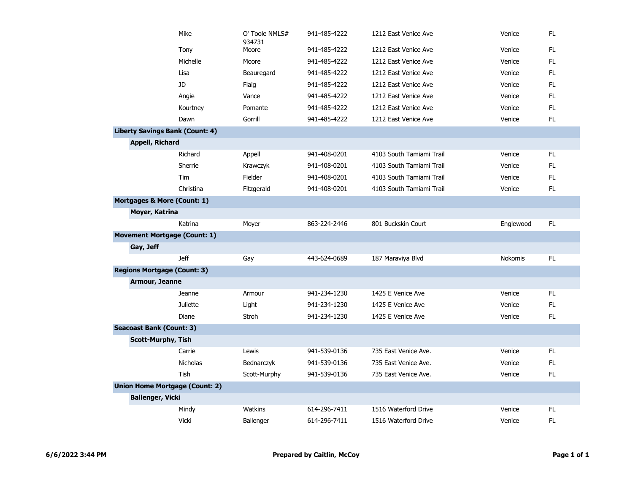|                                 | Mike                                   | O' Toole NMLS#<br>934731 | 941-485-4222 | 1212 East Venice Ave     | Venice    | FL  |
|---------------------------------|----------------------------------------|--------------------------|--------------|--------------------------|-----------|-----|
|                                 | Tony                                   | Moore                    | 941-485-4222 | 1212 East Venice Ave     | Venice    | FL. |
|                                 | Michelle                               | Moore                    | 941-485-4222 | 1212 East Venice Ave     | Venice    | FL. |
|                                 | Lisa                                   | Beauregard               | 941-485-4222 | 1212 East Venice Ave     | Venice    | FL  |
|                                 | JD.                                    | Flaig                    | 941-485-4222 | 1212 East Venice Ave     | Venice    | FL. |
|                                 | Angie                                  | Vance                    | 941-485-4222 | 1212 East Venice Ave     | Venice    | FL. |
|                                 | Kourtney                               | Pomante                  | 941-485-4222 | 1212 East Venice Ave     | Venice    | FL. |
|                                 | Dawn                                   | Gorrill                  | 941-485-4222 | 1212 East Venice Ave     | Venice    | FL. |
|                                 | <b>Liberty Savings Bank (Count: 4)</b> |                          |              |                          |           |     |
| <b>Appell, Richard</b>          |                                        |                          |              |                          |           |     |
|                                 | Richard                                | Appell                   | 941-408-0201 | 4103 South Tamiami Trail | Venice    | FL  |
|                                 | Sherrie                                | Krawczyk                 | 941-408-0201 | 4103 South Tamiami Trail | Venice    | FL. |
|                                 | Tim                                    | Fielder                  | 941-408-0201 | 4103 South Tamiami Trail | Venice    | FL. |
|                                 | Christina                              | Fitzgerald               | 941-408-0201 | 4103 South Tamiami Trail | Venice    | FL. |
|                                 | Mortgages & More (Count: 1)            |                          |              |                          |           |     |
| Moyer, Katrina                  |                                        |                          |              |                          |           |     |
|                                 | Katrina                                | Moyer                    | 863-224-2446 | 801 Buckskin Court       | Englewood | FL  |
|                                 | <b>Movement Mortgage (Count: 1)</b>    |                          |              |                          |           |     |
| Gay, Jeff                       |                                        |                          |              |                          |           |     |
|                                 | <b>Jeff</b>                            | Gay                      | 443-624-0689 | 187 Maraviya Blvd        | Nokomis   | FL. |
|                                 | <b>Regions Mortgage (Count: 3)</b>     |                          |              |                          |           |     |
| Armour, Jeanne                  |                                        |                          |              |                          |           |     |
|                                 | Jeanne                                 | Armour                   | 941-234-1230 | 1425 E Venice Ave        | Venice    | FL  |
|                                 | <b>Juliette</b>                        | Light                    | 941-234-1230 | 1425 E Venice Ave        | Venice    | FL  |
|                                 | Diane                                  | Stroh                    | 941-234-1230 | 1425 E Venice Ave        | Venice    | FL  |
| <b>Seacoast Bank (Count: 3)</b> |                                        |                          |              |                          |           |     |
|                                 | <b>Scott-Murphy, Tish</b>              |                          |              |                          |           |     |
|                                 | Carrie                                 | Lewis                    | 941-539-0136 | 735 East Venice Ave.     | Venice    | FL  |
|                                 | <b>Nicholas</b>                        | Bednarczyk               | 941-539-0136 | 735 East Venice Ave.     | Venice    | FL  |
|                                 | Tish                                   | Scott-Murphy             | 941-539-0136 | 735 East Venice Ave.     | Venice    | FL. |
|                                 | <b>Union Home Mortgage (Count: 2)</b>  |                          |              |                          |           |     |
| <b>Ballenger, Vicki</b>         |                                        |                          |              |                          |           |     |
|                                 | Mindy                                  | <b>Watkins</b>           | 614-296-7411 | 1516 Waterford Drive     | Venice    | FL. |
|                                 | <b>Vicki</b>                           | Ballenger                | 614-296-7411 | 1516 Waterford Drive     | Venice    | FL  |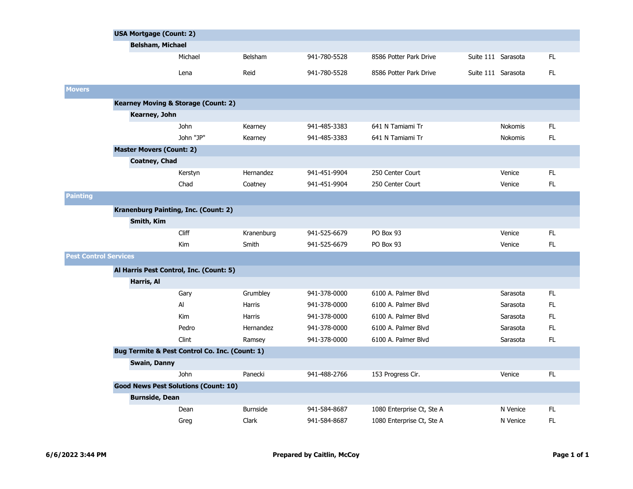|                              | <b>USA Mortgage (Count: 2)</b>                 |                                                |                 |              |                           |                    |                |     |  |
|------------------------------|------------------------------------------------|------------------------------------------------|-----------------|--------------|---------------------------|--------------------|----------------|-----|--|
|                              | <b>Belsham, Michael</b>                        |                                                |                 |              |                           |                    |                |     |  |
|                              |                                                | Michael                                        | Belsham         | 941-780-5528 | 8586 Potter Park Drive    | Suite 111 Sarasota |                | FL. |  |
|                              |                                                | Lena                                           | Reid            | 941-780-5528 | 8586 Potter Park Drive    | Suite 111 Sarasota |                | FL. |  |
| <b>Movers</b>                |                                                |                                                |                 |              |                           |                    |                |     |  |
|                              | <b>Kearney Moving &amp; Storage (Count: 2)</b> |                                                |                 |              |                           |                    |                |     |  |
|                              | Kearney, John                                  |                                                |                 |              |                           |                    |                |     |  |
|                              |                                                | <b>John</b>                                    | Kearney         | 941-485-3383 | 641 N Tamiami Tr          |                    | <b>Nokomis</b> | FL. |  |
|                              |                                                | John "JP"                                      | Kearney         | 941-485-3383 | 641 N Tamiami Tr          |                    | <b>Nokomis</b> | FL. |  |
|                              | <b>Master Movers (Count: 2)</b>                |                                                |                 |              |                           |                    |                |     |  |
|                              | <b>Coatney, Chad</b>                           |                                                |                 |              |                           |                    |                |     |  |
|                              |                                                | Kerstyn                                        | Hernandez       | 941-451-9904 | 250 Center Court          |                    | Venice         | FL. |  |
|                              |                                                | Chad                                           | Coatney         | 941-451-9904 | 250 Center Court          |                    | Venice         | FL  |  |
| <b>Painting</b>              |                                                |                                                |                 |              |                           |                    |                |     |  |
|                              | <b>Kranenburg Painting, Inc. (Count: 2)</b>    |                                                |                 |              |                           |                    |                |     |  |
|                              | Smith, Kim                                     |                                                |                 |              |                           |                    |                |     |  |
|                              |                                                | <b>Cliff</b>                                   | Kranenburg      | 941-525-6679 | PO Box 93                 |                    | Venice         | FL. |  |
|                              |                                                | Kim                                            | Smith           | 941-525-6679 | PO Box 93                 |                    | Venice         | FL  |  |
| <b>Pest Control Services</b> |                                                |                                                |                 |              |                           |                    |                |     |  |
|                              | Al Harris Pest Control, Inc. (Count: 5)        |                                                |                 |              |                           |                    |                |     |  |
|                              | Harris, Al                                     |                                                |                 |              |                           |                    |                |     |  |
|                              |                                                | Gary                                           | Grumbley        | 941-378-0000 | 6100 A. Palmer Blvd       |                    | Sarasota       | FL. |  |
|                              |                                                | Al                                             | <b>Harris</b>   | 941-378-0000 | 6100 A. Palmer Blvd       |                    | Sarasota       | FL. |  |
|                              |                                                | Kim                                            | Harris          | 941-378-0000 | 6100 A. Palmer Blvd       |                    | Sarasota       | FL. |  |
|                              |                                                | Pedro                                          | Hernandez       | 941-378-0000 | 6100 A. Palmer Blvd       |                    | Sarasota       | FL. |  |
|                              |                                                | Clint                                          | Ramsey          | 941-378-0000 | 6100 A. Palmer Blvd       |                    | Sarasota       | FL. |  |
|                              |                                                | Bug Termite & Pest Control Co. Inc. (Count: 1) |                 |              |                           |                    |                |     |  |
|                              | <b>Swain, Danny</b>                            |                                                |                 |              |                           |                    |                |     |  |
|                              |                                                | <b>John</b>                                    | Panecki         | 941-488-2766 | 153 Progress Cir.         |                    | Venice         | FL. |  |
|                              |                                                | <b>Good News Pest Solutions (Count: 10)</b>    |                 |              |                           |                    |                |     |  |
|                              | <b>Burnside, Dean</b>                          |                                                |                 |              |                           |                    |                |     |  |
|                              |                                                | Dean                                           | <b>Burnside</b> | 941-584-8687 | 1080 Enterprise Ct, Ste A |                    | N Venice       | FL. |  |
|                              |                                                | Greg                                           | Clark           | 941-584-8687 | 1080 Enterprise Ct, Ste A |                    | N Venice       | FL  |  |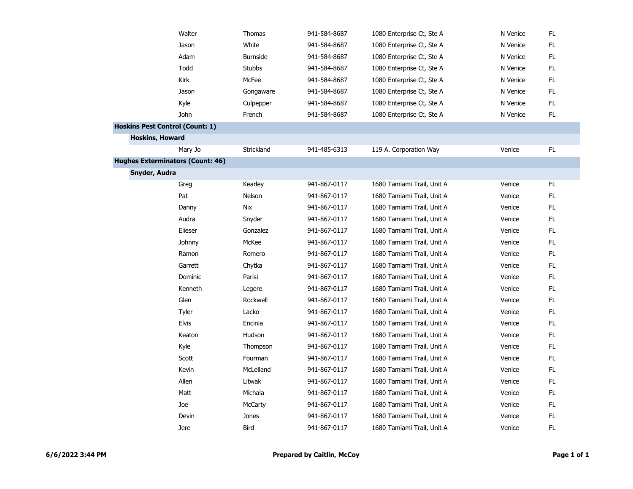| Walter                                  | Thomas          | 941-584-8687 | 1080 Enterprise Ct, Ste A  | N Venice | FL            |
|-----------------------------------------|-----------------|--------------|----------------------------|----------|---------------|
| Jason                                   | White           | 941-584-8687 | 1080 Enterprise Ct, Ste A  | N Venice | $\mathsf{FL}$ |
| Adam                                    | <b>Burnside</b> | 941-584-8687 | 1080 Enterprise Ct, Ste A  | N Venice | $\mathsf{FL}$ |
| Todd                                    | Stubbs          | 941-584-8687 | 1080 Enterprise Ct, Ste A  | N Venice | FL            |
| Kirk                                    | McFee           | 941-584-8687 | 1080 Enterprise Ct, Ste A  | N Venice | FL            |
| Jason                                   | Gongaware       | 941-584-8687 | 1080 Enterprise Ct, Ste A  | N Venice | FL.           |
| Kyle                                    | Culpepper       | 941-584-8687 | 1080 Enterprise Ct, Ste A  | N Venice | $\mathsf{FL}$ |
| John                                    | French          | 941-584-8687 | 1080 Enterprise Ct, Ste A  | N Venice | FL            |
| <b>Hoskins Pest Control (Count: 1)</b>  |                 |              |                            |          |               |
| <b>Hoskins, Howard</b>                  |                 |              |                            |          |               |
| Mary Jo                                 | Strickland      | 941-485-6313 | 119 A. Corporation Way     | Venice   | FL.           |
| <b>Hughes Exterminators (Count: 46)</b> |                 |              |                            |          |               |
| Snyder, Audra                           |                 |              |                            |          |               |
| Greg                                    | Kearley         | 941-867-0117 | 1680 Tamiami Trail, Unit A | Venice   | FL            |
| Pat                                     | Nelson          | 941-867-0117 | 1680 Tamiami Trail, Unit A | Venice   | FL            |
| Danny                                   | <b>Nix</b>      | 941-867-0117 | 1680 Tamiami Trail, Unit A | Venice   | FL            |
| Audra                                   | Snyder          | 941-867-0117 | 1680 Tamiami Trail, Unit A | Venice   | ${\sf FL}$    |
| Elieser                                 | Gonzalez        | 941-867-0117 | 1680 Tamiami Trail, Unit A | Venice   | ${\sf FL}$    |
| Johnny                                  | McKee           | 941-867-0117 | 1680 Tamiami Trail, Unit A | Venice   | FL            |
| Ramon                                   | Romero          | 941-867-0117 | 1680 Tamiami Trail, Unit A | Venice   | FL.           |
| Garrett                                 | Chytka          | 941-867-0117 | 1680 Tamiami Trail, Unit A | Venice   | FL.           |
| Dominic                                 | Parisi          | 941-867-0117 | 1680 Tamiami Trail, Unit A | Venice   | $\mathsf{FL}$ |
| Kenneth                                 | Legere          | 941-867-0117 | 1680 Tamiami Trail, Unit A | Venice   | ${\sf FL}$    |
| Glen                                    | Rockwell        | 941-867-0117 | 1680 Tamiami Trail, Unit A | Venice   | FL            |
| Tyler                                   | Lacko           | 941-867-0117 | 1680 Tamiami Trail, Unit A | Venice   | FL.           |
| <b>Elvis</b>                            | Encinia         | 941-867-0117 | 1680 Tamiami Trail, Unit A | Venice   | FL            |
| Keaton                                  | Hudson          | 941-867-0117 | 1680 Tamiami Trail, Unit A | Venice   | FL            |
| Kyle                                    | Thompson        | 941-867-0117 | 1680 Tamiami Trail, Unit A | Venice   | FL            |
| Scott                                   | Fourman         | 941-867-0117 | 1680 Tamiami Trail, Unit A | Venice   | FL            |
| Kevin                                   | McLelland       | 941-867-0117 | 1680 Tamiami Trail, Unit A | Venice   | FL            |
| Allen                                   | Litwak          | 941-867-0117 | 1680 Tamiami Trail, Unit A | Venice   | FL.           |
| Matt                                    | Michala         | 941-867-0117 | 1680 Tamiami Trail, Unit A | Venice   | ${\sf FL}$    |
| Joe                                     | McCarty         | 941-867-0117 | 1680 Tamiami Trail, Unit A | Venice   | FL.           |
| Devin                                   | Jones           | 941-867-0117 | 1680 Tamiami Trail, Unit A | Venice   | FL            |
| Jere                                    | Bird            | 941-867-0117 | 1680 Tamiami Trail, Unit A | Venice   | FL.           |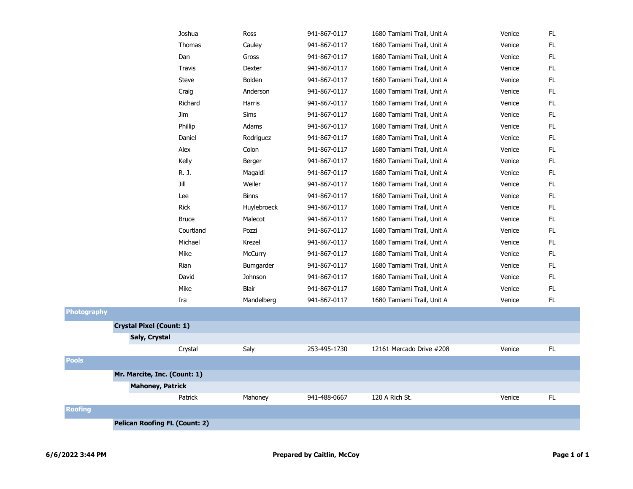|    | Joshua                               | Ross         | 941-867-0117 | 1680 Tamiami Trail, Unit A | Venice | FL.           |
|----|--------------------------------------|--------------|--------------|----------------------------|--------|---------------|
|    | Thomas                               | Cauley       | 941-867-0117 | 1680 Tamiami Trail, Unit A | Venice | FL            |
|    | Dan                                  | Gross        | 941-867-0117 | 1680 Tamiami Trail, Unit A | Venice | ${\sf FL}$    |
|    | <b>Travis</b>                        | Dexter       | 941-867-0117 | 1680 Tamiami Trail, Unit A | Venice | FL            |
|    | <b>Steve</b>                         | Bolden       | 941-867-0117 | 1680 Tamiami Trail, Unit A | Venice | FL.           |
|    | Craig                                | Anderson     | 941-867-0117 | 1680 Tamiami Trail, Unit A | Venice | FL            |
|    | Richard                              | Harris       | 941-867-0117 | 1680 Tamiami Trail, Unit A | Venice | FL            |
|    | Jim                                  | Sims         | 941-867-0117 | 1680 Tamiami Trail, Unit A | Venice | FL.           |
|    | Phillip                              | Adams        | 941-867-0117 | 1680 Tamiami Trail, Unit A | Venice | FL            |
|    | Daniel                               | Rodriguez    | 941-867-0117 | 1680 Tamiami Trail, Unit A | Venice | FL            |
|    | Alex                                 | Colon        | 941-867-0117 | 1680 Tamiami Trail, Unit A | Venice | FL.           |
|    | Kelly                                | Berger       | 941-867-0117 | 1680 Tamiami Trail, Unit A | Venice | FL.           |
|    | R. J.                                | Magaldi      | 941-867-0117 | 1680 Tamiami Trail, Unit A | Venice | FL.           |
|    | Jill                                 | Weiler       | 941-867-0117 | 1680 Tamiami Trail, Unit A | Venice | $\mathsf{FL}$ |
|    | Lee                                  | <b>Binns</b> | 941-867-0117 | 1680 Tamiami Trail, Unit A | Venice | FL            |
|    | <b>Rick</b>                          | Huylebroeck  | 941-867-0117 | 1680 Tamiami Trail, Unit A | Venice | FL.           |
|    | <b>Bruce</b>                         | Malecot      | 941-867-0117 | 1680 Tamiami Trail, Unit A | Venice | FL.           |
|    | Courtland                            | Pozzi        | 941-867-0117 | 1680 Tamiami Trail, Unit A | Venice | FL.           |
|    | Michael                              | Krezel       | 941-867-0117 | 1680 Tamiami Trail, Unit A | Venice | FL            |
|    | Mike                                 | McCurry      | 941-867-0117 | 1680 Tamiami Trail, Unit A | Venice | FL.           |
|    | Rian                                 | Bumgarder    | 941-867-0117 | 1680 Tamiami Trail, Unit A | Venice | FL            |
|    | David                                | Johnson      | 941-867-0117 | 1680 Tamiami Trail, Unit A | Venice | FL.           |
|    | Mike                                 | Blair        | 941-867-0117 | 1680 Tamiami Trail, Unit A | Venice | FL.           |
|    | Ira                                  | Mandelberg   | 941-867-0117 | 1680 Tamiami Trail, Unit A | Venice | FL            |
| hy |                                      |              |              |                            |        |               |
|    | <b>Crystal Pixel (Count: 1)</b>      |              |              |                            |        |               |
|    | Saly, Crystal                        |              |              |                            |        |               |
|    | Crystal                              | Saly         | 253-495-1730 | 12161 Mercado Drive #208   | Venice | FL            |
|    |                                      |              |              |                            |        |               |
|    | Mr. Marcite, Inc. (Count: 1)         |              |              |                            |        |               |
|    | <b>Mahoney, Patrick</b>              |              |              |                            |        |               |
|    | Patrick                              | Mahoney      | 941-488-0667 | 120 A Rich St.             | Venice | FL.           |
|    |                                      |              |              |                            |        |               |
|    | <b>Pelican Roofing FL (Count: 2)</b> |              |              |                            |        |               |

**Roofing**

**Pools**

**Photograp**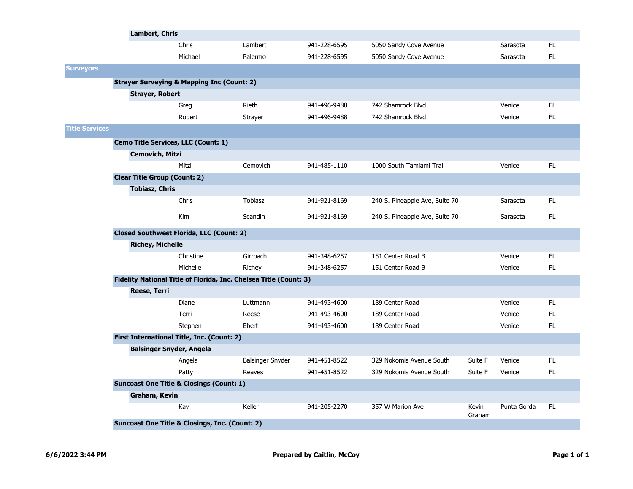|                       | Lambert, Chris                      |                                                           |                                                                   |              |                                |                        |             |     |
|-----------------------|-------------------------------------|-----------------------------------------------------------|-------------------------------------------------------------------|--------------|--------------------------------|------------------------|-------------|-----|
|                       |                                     | Chris                                                     | Lambert                                                           | 941-228-6595 | 5050 Sandy Cove Avenue         |                        | Sarasota    | FL. |
|                       |                                     | Michael                                                   | Palermo                                                           | 941-228-6595 | 5050 Sandy Cove Avenue         |                        | Sarasota    | FL. |
| <b>Surveyors</b>      |                                     |                                                           |                                                                   |              |                                |                        |             |     |
|                       |                                     | <b>Strayer Surveying &amp; Mapping Inc (Count: 2)</b>     |                                                                   |              |                                |                        |             |     |
|                       | <b>Strayer, Robert</b>              |                                                           |                                                                   |              |                                |                        |             |     |
|                       |                                     | Greg                                                      | <b>Rieth</b>                                                      | 941-496-9488 | 742 Shamrock Blvd              |                        | Venice      | FL. |
|                       |                                     | Robert                                                    | <b>Strayer</b>                                                    | 941-496-9488 | 742 Shamrock Blvd              |                        | Venice      | FL. |
| <b>Title Services</b> |                                     |                                                           |                                                                   |              |                                |                        |             |     |
|                       | Cemo Title Services, LLC (Count: 1) |                                                           |                                                                   |              |                                |                        |             |     |
|                       | <b>Cemovich, Mitzi</b>              |                                                           |                                                                   |              |                                |                        |             |     |
|                       |                                     | Mitzi                                                     | Cemovich                                                          | 941-485-1110 | 1000 South Tamiami Trail       |                        | Venice      | FL. |
|                       | <b>Clear Title Group (Count: 2)</b> |                                                           |                                                                   |              |                                |                        |             |     |
|                       | <b>Tobiasz, Chris</b>               |                                                           |                                                                   |              |                                |                        |             |     |
|                       |                                     | Chris                                                     | <b>Tobiasz</b>                                                    | 941-921-8169 | 240 S. Pineapple Ave, Suite 70 |                        | Sarasota    | FL. |
|                       |                                     | <b>Kim</b>                                                | Scandin                                                           | 941-921-8169 | 240 S. Pineapple Ave, Suite 70 |                        | Sarasota    | FL. |
|                       |                                     | <b>Closed Southwest Florida, LLC (Count: 2)</b>           |                                                                   |              |                                |                        |             |     |
|                       | <b>Richey, Michelle</b>             |                                                           |                                                                   |              |                                |                        |             |     |
|                       |                                     | Christine                                                 | Girrbach                                                          | 941-348-6257 | 151 Center Road B              |                        | Venice      | FL. |
|                       |                                     | Michelle                                                  | Richey                                                            | 941-348-6257 | 151 Center Road B              |                        | Venice      | FL  |
|                       |                                     |                                                           | Fidelity National Title of Florida, Inc. Chelsea Title (Count: 3) |              |                                |                        |             |     |
|                       | <b>Reese, Terri</b>                 |                                                           |                                                                   |              |                                |                        |             |     |
|                       |                                     | Diane                                                     | Luttmann                                                          | 941-493-4600 | 189 Center Road                |                        | Venice      | FL. |
|                       |                                     | Terri                                                     | Reese                                                             | 941-493-4600 | 189 Center Road                |                        | Venice      | FL. |
|                       |                                     | Stephen                                                   | Ebert                                                             | 941-493-4600 | 189 Center Road                |                        | Venice      | FL. |
|                       |                                     | First International Title, Inc. (Count: 2)                |                                                                   |              |                                |                        |             |     |
|                       | <b>Balsinger Snyder, Angela</b>     |                                                           |                                                                   |              |                                |                        |             |     |
|                       |                                     | Angela                                                    | Balsinger Snyder                                                  | 941-451-8522 | 329 Nokomis Avenue South       | Suite F                | Venice      | FL. |
|                       |                                     | Patty                                                     | Reaves                                                            | 941-451-8522 | 329 Nokomis Avenue South       | Suite F                | Venice      | FL. |
|                       |                                     | <b>Suncoast One Title &amp; Closings (Count: 1)</b>       |                                                                   |              |                                |                        |             |     |
|                       | Graham, Kevin                       |                                                           |                                                                   |              |                                |                        |             |     |
|                       |                                     | Kay                                                       | Keller                                                            | 941-205-2270 | 357 W Marion Ave               | <b>Kevin</b><br>Graham | Punta Gorda | FL. |
|                       |                                     | <b>Suncoast One Title &amp; Closings, Inc. (Count: 2)</b> |                                                                   |              |                                |                        |             |     |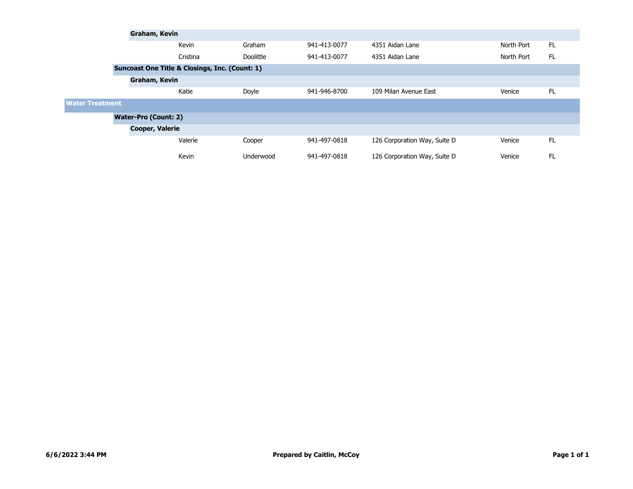|                                                |                             | Graham, Kevin |           |              |                              |            |     |  |  |  |
|------------------------------------------------|-----------------------------|---------------|-----------|--------------|------------------------------|------------|-----|--|--|--|
|                                                |                             | Kevin         | Graham    | 941-413-0077 | 4351 Aidan Lane              | North Port | FL. |  |  |  |
|                                                |                             | Cristina      | Doolittle | 941-413-0077 | 4351 Aidan Lane              | North Port | FL. |  |  |  |
| Suncoast One Title & Closings, Inc. (Count: 1) |                             |               |           |              |                              |            |     |  |  |  |
|                                                | Graham, Kevin               |               |           |              |                              |            |     |  |  |  |
|                                                |                             | Katie         | Doyle     | 941-946-8700 | 109 Milan Avenue East        | Venice     | FL. |  |  |  |
| <b>Water Treatment</b>                         |                             |               |           |              |                              |            |     |  |  |  |
|                                                | <b>Water-Pro (Count: 2)</b> |               |           |              |                              |            |     |  |  |  |
|                                                | <b>Cooper, Valerie</b>      |               |           |              |                              |            |     |  |  |  |
|                                                |                             | Valerie       | Cooper    | 941-497-0818 | 126 Corporation Way, Suite D | Venice     | FL. |  |  |  |
|                                                |                             | Kevin         | Underwood | 941-497-0818 | 126 Corporation Way, Suite D | Venice     | FL. |  |  |  |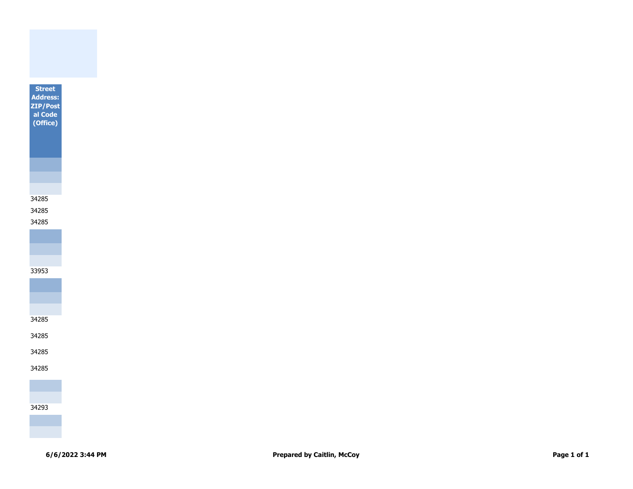

34285 34285



34285

34285

34285

34285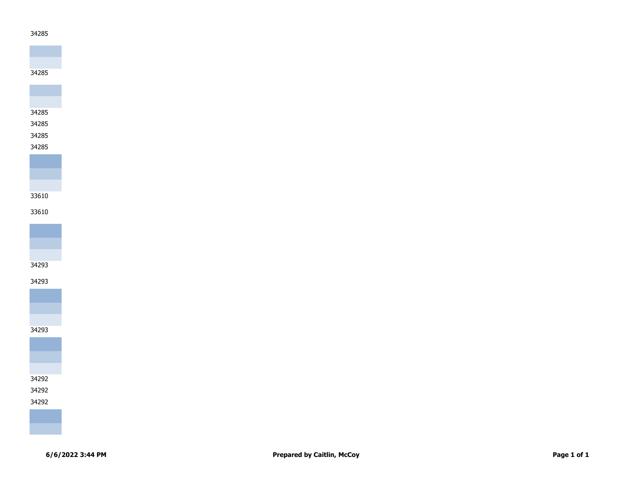# 









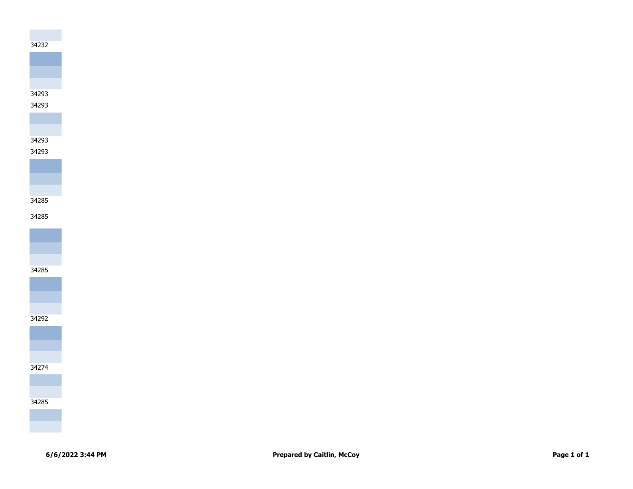



# 

## 



# 













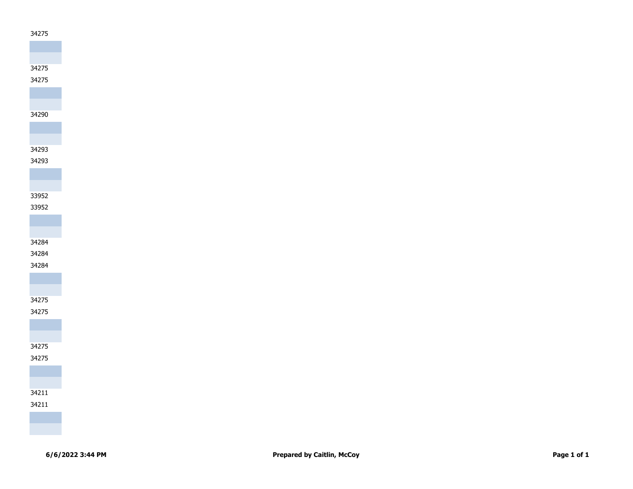

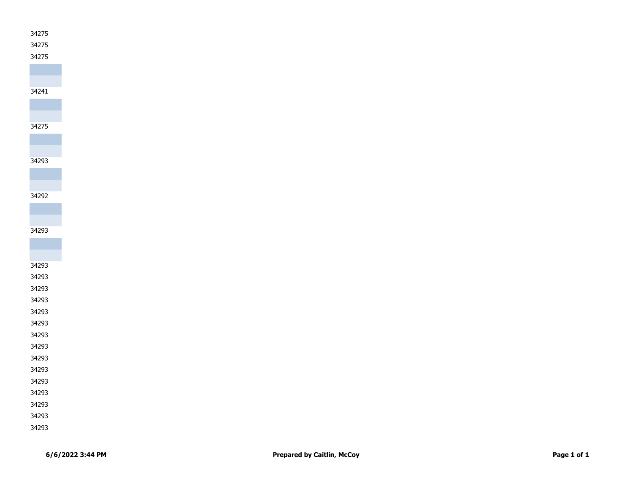

| ۰,<br>× | ۰.<br>., |
|---------|----------|
|         |          |

## 

# 

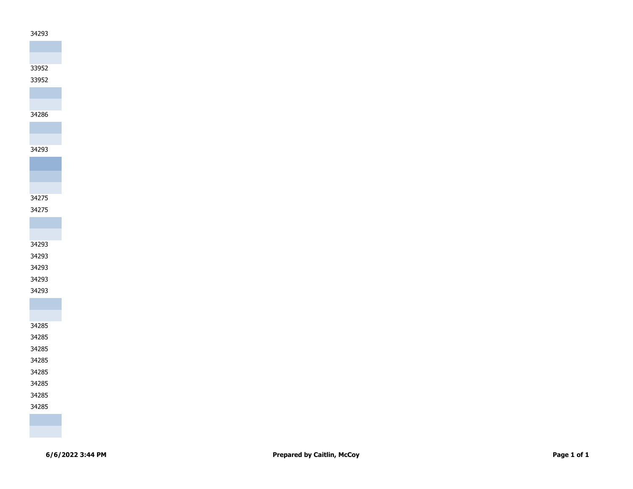

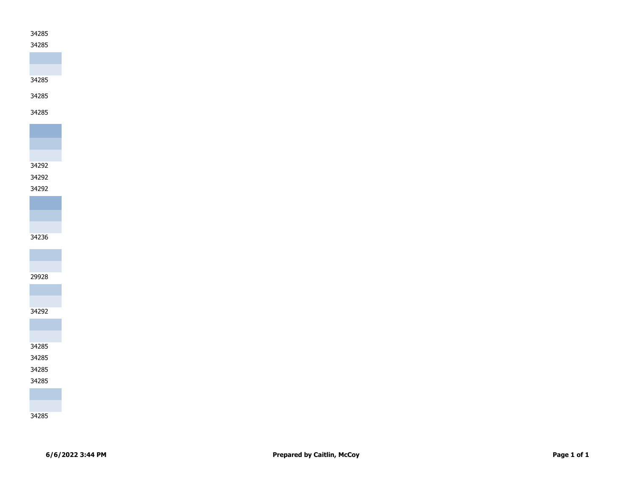### 

# 

# 

# 







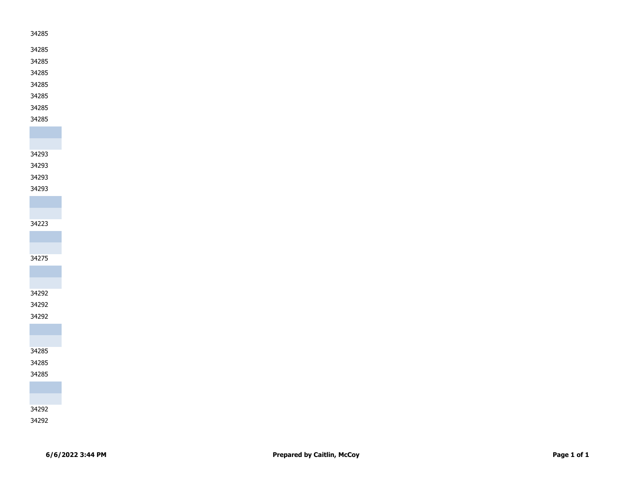- 
- 
- 
- 
- 
- 
- 
- 
- 

## 

#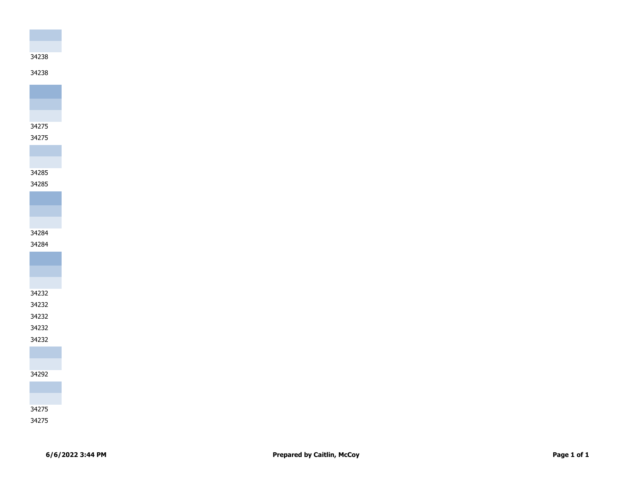

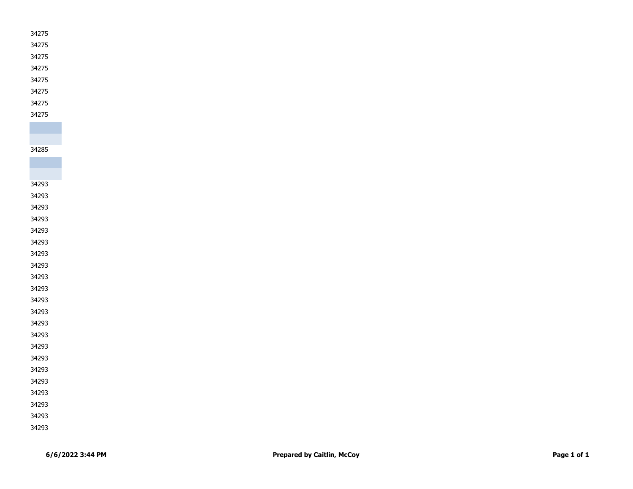- 
- 
- 
- 
- 
- 
- 
- 

- 
- 
- 
- 
- 
- 
- 
- 
- 
- 
- 
- 
- 
- 
- 
- 
- 
- 
- 
- 
- 
- 
-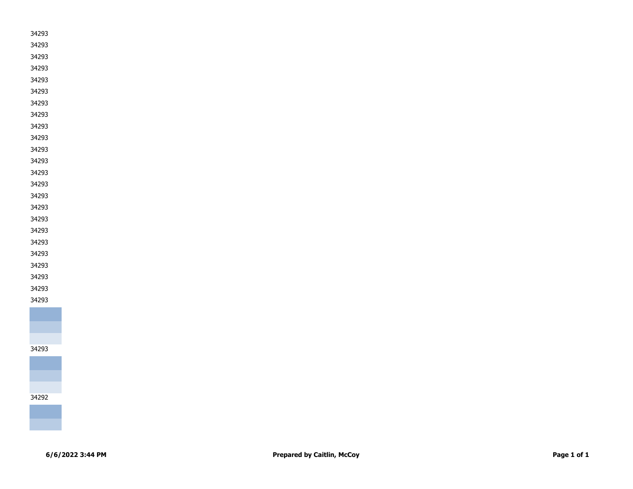- 
- 
- 
- 
- 
- 
- 
- 
- 
- 
- 
- 
- 
- 
- 
- 
- 
- 
- 
- 





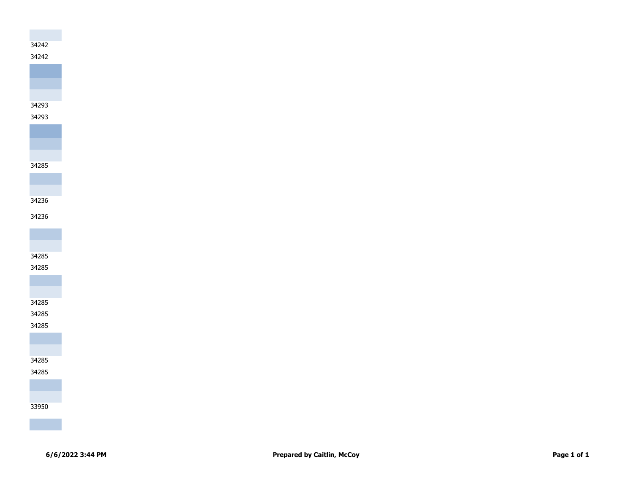# 



# 







#